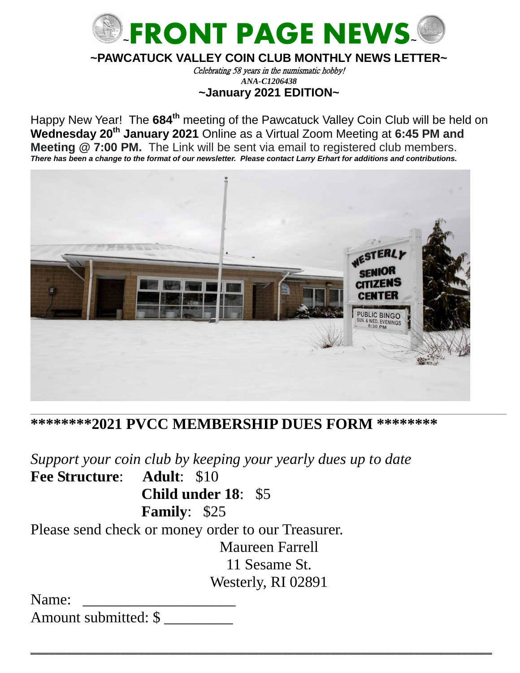

### **~PAWCATUCK VALLEY COIN CLUB MONTHLY NEWS LETTER~**

Celebrating 58 years in the numismatic hobby! *ANA-C1206438* **~January 2021 EDITION~**

Happy New Year! The 684<sup>th</sup> meeting of the Pawcatuck Valley Coin Club will be held on **Wednesday 20th January 2021** Online as a Virtual Zoom Meeting at **6:45 PM and Meeting @ 7:00 PM.** The Link will be sent via email to registered club members. *There has been a change to the format of our newsletter. Please contact Larry Erhart for additions and contributions.*



**\*\*\*\*\*\*\*\*2021 PVCC MEMBERSHIP DUES FORM \*\*\*\*\*\*\*\*** 

\_\_\_\_\_\_\_\_\_\_\_\_\_\_\_\_\_\_\_\_\_\_\_\_\_\_\_\_\_\_\_\_\_\_\_\_\_\_\_\_\_\_\_\_\_\_\_\_\_\_\_\_\_\_\_\_\_\_\_\_\_\_\_\_\_\_\_\_\_\_\_\_\_\_\_\_\_\_\_\_\_\_\_\_\_\_\_\_\_\_\_\_\_\_\_\_\_\_\_\_\_\_\_\_\_\_\_\_\_\_\_\_\_\_\_\_\_\_\_\_\_\_\_\_\_\_\_\_\_\_\_\_\_\_\_\_\_\_\_\_\_\_\_\_

\_\_\_\_\_\_\_\_\_\_\_\_\_\_\_\_\_\_\_\_\_\_\_\_\_\_\_\_\_\_\_\_\_\_\_\_\_\_\_\_\_\_\_\_\_\_\_\_\_\_\_\_\_\_\_\_\_\_\_\_\_\_\_\_\_\_\_\_\_\_\_\_\_\_\_\_\_

*Support your coin club by keeping your yearly dues up to date* **Fee Structure**: **Adult**: \$10 **Child under 18**: \$5 **Family**: \$25 Please send check or money order to our Treasurer. Maureen Farrell 11 Sesame St. Westerly, RI 02891

Name: Amount submitted: \$ \_\_\_\_\_\_\_\_\_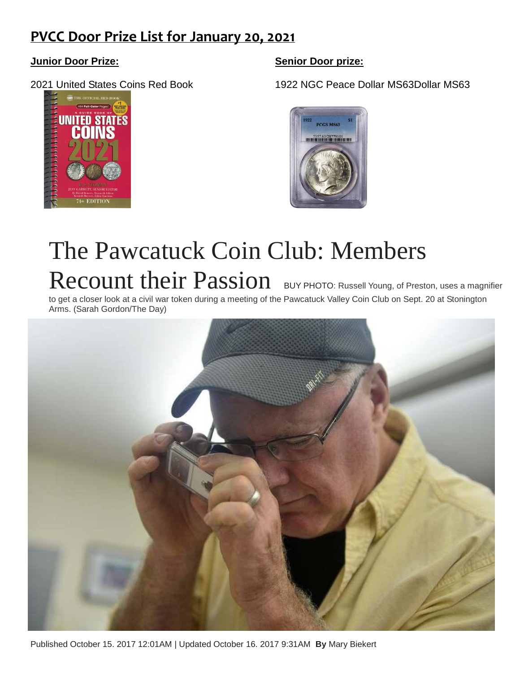## **PVCC Door Prize List for January 20, 2021**



**Junior Door Prize: Senior Door prize:**

2021 United States Coins Red Book 1922 NGC Peace Dollar MS63Dollar MS63



# The Pawcatuck Coin Club: Members Recount their Passion [BUY PHOTO:](https://www.theday.com/article/20171015/ENT18/171019889) Russell Young, of Preston, uses a magnifier

to get a closer look at a civil war token during a meeting of the Pawcatuck Valley Coin Club on Sept. 20 at Stonington Arms. (Sarah Gordon/The Day)



Published October 15. 2017 12:01AM | Updated October 16. 2017 9:31AM **By** Mary Biekert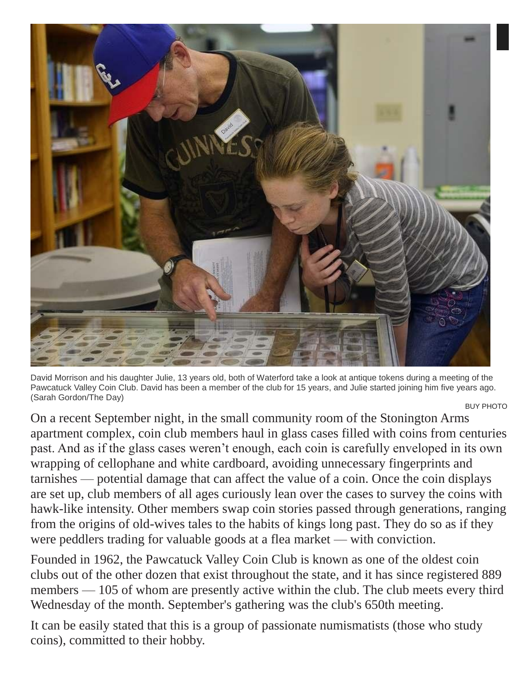

David Morrison and his daughter Julie, 13 years old, both of Waterford take a look at antique tokens during a meeting of the Pawcatuck Valley Coin Club. David has been a member of the club for 15 years, and Julie started joining him five years ago. (Sarah Gordon/The Day)

[BUY PHOTO](https://www.theday.com/article/20171015/ENT18/171019889)

On a recent September night, in the small community room of the Stonington Arms apartment complex, coin club members haul in glass cases filled with coins from centuries past. And as if the glass cases weren't enough, each coin is carefully enveloped in its own wrapping of cellophane and white cardboard, avoiding unnecessary fingerprints and tarnishes — potential damage that can affect the value of a coin. Once the coin displays are set up, club members of all ages curiously lean over the cases to survey the coins with hawk-like intensity. Other members swap coin stories passed through generations, ranging from the origins of old-wives tales to the habits of kings long past. They do so as if they were peddlers trading for valuable goods at a flea market — with conviction.

Founded in 1962, the Pawcatuck Valley Coin Club is known as one of the oldest coin clubs out of the other dozen that exist throughout the state, and it has since registered 889 members — 105 of whom are presently active within the club. The club meets every third Wednesday of the month. September's gathering was the club's 650th meeting.

It can be easily stated that this is a group of passionate numismatists (those who study coins), committed to their hobby.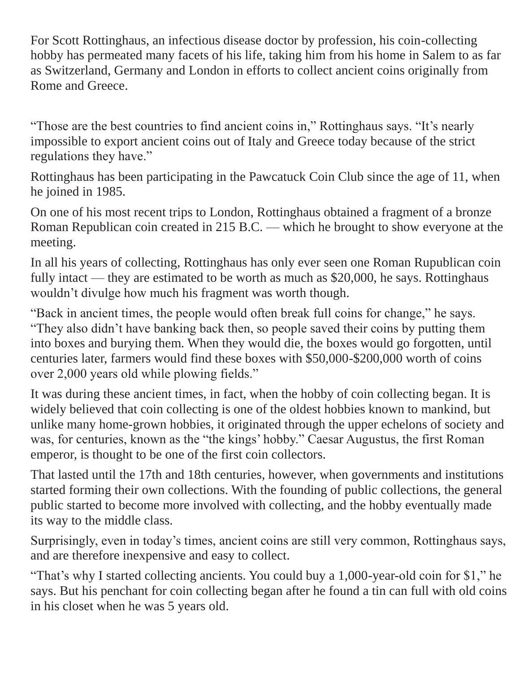For Scott Rottinghaus, an infectious disease doctor by profession, his coin-collecting hobby has permeated many facets of his life, taking him from his home in Salem to as far as Switzerland, Germany and London in efforts to collect ancient coins originally from Rome and Greece.

"Those are the best countries to find ancient coins in," Rottinghaus says. "It's nearly impossible to export ancient coins out of Italy and Greece today because of the strict regulations they have."

Rottinghaus has been participating in the Pawcatuck Coin Club since the age of 11, when he joined in 1985.

On one of his most recent trips to London, Rottinghaus obtained a fragment of a bronze Roman Republican coin created in 215 B.C. — which he brought to show everyone at the meeting.

In all his years of collecting, Rottinghaus has only ever seen one Roman Rupublican coin fully intact — they are estimated to be worth as much as \$20,000, he says. Rottinghaus wouldn't divulge how much his fragment was worth though.

"Back in ancient times, the people would often break full coins for change," he says. "They also didn't have banking back then, so people saved their coins by putting them into boxes and burying them. When they would die, the boxes would go forgotten, until centuries later, farmers would find these boxes with \$50,000-\$200,000 worth of coins over 2,000 years old while plowing fields."

It was during these ancient times, in fact, when the hobby of coin collecting began. It is widely believed that coin collecting is one of the oldest hobbies known to mankind, but unlike many home-grown hobbies, it originated through the upper echelons of society and was, for centuries, known as the "the kings' hobby." Caesar Augustus, the first Roman emperor, is thought to be one of the first coin collectors.

That lasted until the 17th and 18th centuries, however, when governments and institutions started forming their own collections. With the founding of public collections, the general public started to become more involved with collecting, and the hobby eventually made its way to the middle class.

Surprisingly, even in today's times, ancient coins are still very common, Rottinghaus says, and are therefore inexpensive and easy to collect.

"That's why I started collecting ancients. You could buy a 1,000-year-old coin for \$1," he says. But his penchant for coin collecting began after he found a tin can full with old coins in his closet when he was 5 years old.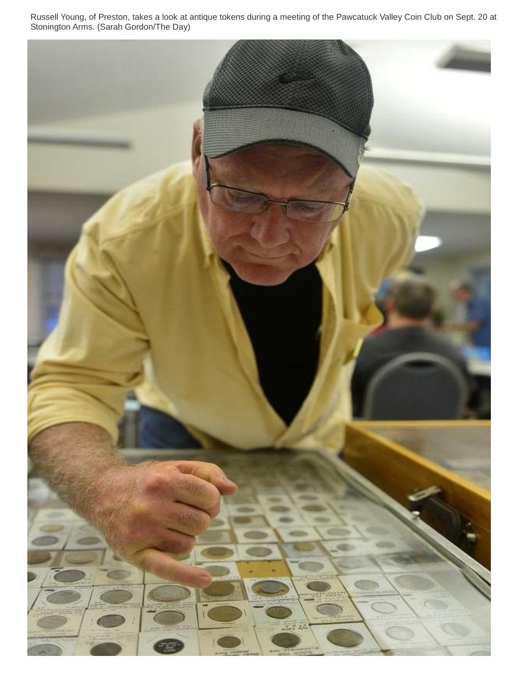Russell Young, of Preston, takes a look at antique tokens during a meeting of the Pawcatuck Valley Coin Club on Sept. 20 at Stonington Arms. (Sarah Gordon/The Day)

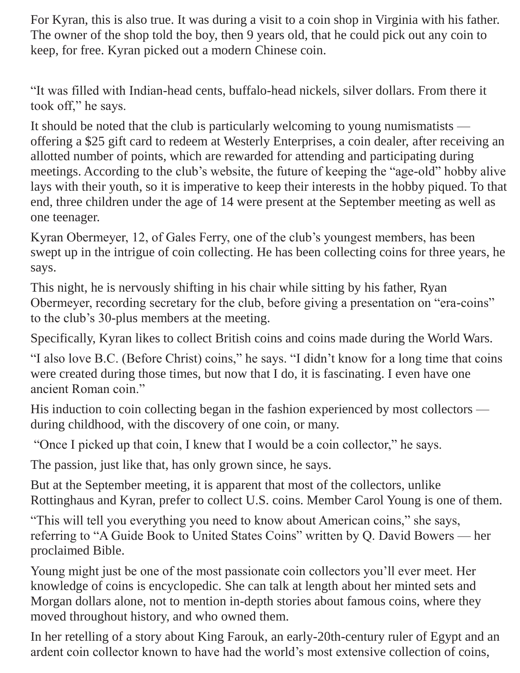For Kyran, this is also true. It was during a visit to a coin shop in Virginia with his father. The owner of the shop told the boy, then 9 years old, that he could pick out any coin to keep, for free. Kyran picked out a modern Chinese coin.

"It was filled with Indian-head cents, buffalo-head nickels, silver dollars. From there it took off," he says.

It should be noted that the club is particularly welcoming to young numismatists offering a \$25 gift card to redeem at Westerly Enterprises, a coin dealer, after receiving an allotted number of points, which are rewarded for attending and participating during meetings. According to the club's website, the future of keeping the "age-old" hobby alive lays with their youth, so it is imperative to keep their interests in the hobby piqued. To that end, three children under the age of 14 were present at the September meeting as well as one teenager.

Kyran Obermeyer, 12, of Gales Ferry, one of the club's youngest members, has been swept up in the intrigue of coin collecting. He has been collecting coins for three years, he says.

This night, he is nervously shifting in his chair while sitting by his father, Ryan Obermeyer, recording secretary for the club, before giving a presentation on "era-coins" to the club's 30-plus members at the meeting.

Specifically, Kyran likes to collect British coins and coins made during the World Wars.

"I also love B.C. (Before Christ) coins," he says. "I didn't know for a long time that coins were created during those times, but now that I do, it is fascinating. I even have one ancient Roman coin."

His induction to coin collecting began in the fashion experienced by most collectors during childhood, with the discovery of one coin, or many.

"Once I picked up that coin, I knew that I would be a coin collector," he says.

The passion, just like that, has only grown since, he says.

But at the September meeting, it is apparent that most of the collectors, unlike Rottinghaus and Kyran, prefer to collect U.S. coins. Member Carol Young is one of them.

"This will tell you everything you need to know about American coins," she says, referring to "A Guide Book to United States Coins" written by Q. David Bowers — her proclaimed Bible.

Young might just be one of the most passionate coin collectors you'll ever meet. Her knowledge of coins is encyclopedic. She can talk at length about her minted sets and Morgan dollars alone, not to mention in-depth stories about famous coins, where they moved throughout history, and who owned them.

In her retelling of a story about King Farouk, an early-20th-century ruler of Egypt and an ardent coin collector known to have had the world's most extensive collection of coins,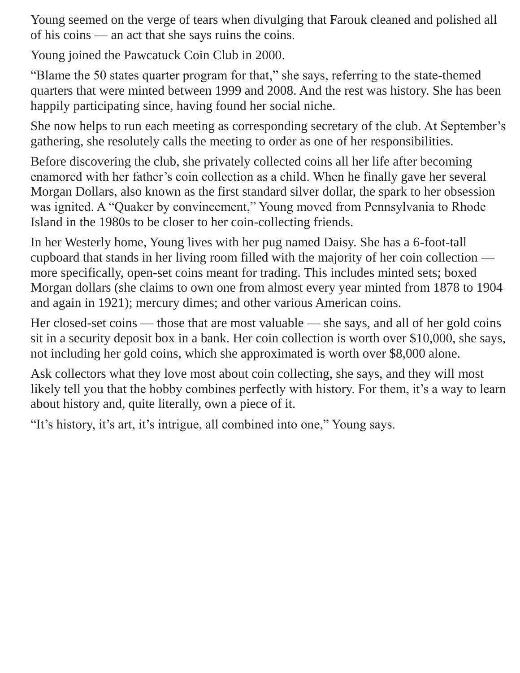Young seemed on the verge of tears when divulging that Farouk cleaned and polished all of his coins — an act that she says ruins the coins.

Young joined the Pawcatuck Coin Club in 2000.

"Blame the 50 states quarter program for that," she says, referring to the state-themed quarters that were minted between 1999 and 2008. And the rest was history. She has been happily participating since, having found her social niche.

She now helps to run each meeting as corresponding secretary of the club. At September's gathering, she resolutely calls the meeting to order as one of her responsibilities.

Before discovering the club, she privately collected coins all her life after becoming enamored with her father's coin collection as a child. When he finally gave her several Morgan Dollars, also known as the first standard silver dollar, the spark to her obsession was ignited. A "Quaker by convincement," Young moved from Pennsylvania to Rhode Island in the 1980s to be closer to her coin-collecting friends.

In her Westerly home, Young lives with her pug named Daisy. She has a 6-foot-tall cupboard that stands in her living room filled with the majority of her coin collection more specifically, open-set coins meant for trading. This includes minted sets; boxed Morgan dollars (she claims to own one from almost every year minted from 1878 to 1904 and again in 1921); mercury dimes; and other various American coins.

Her closed-set coins — those that are most valuable — she says, and all of her gold coins sit in a security deposit box in a bank. Her coin collection is worth over \$10,000, she says, not including her gold coins, which she approximated is worth over \$8,000 alone.

Ask collectors what they love most about coin collecting, she says, and they will most likely tell you that the hobby combines perfectly with history. For them, it's a way to learn about history and, quite literally, own a piece of it.

"It's history, it's art, it's intrigue, all combined into one," Young says.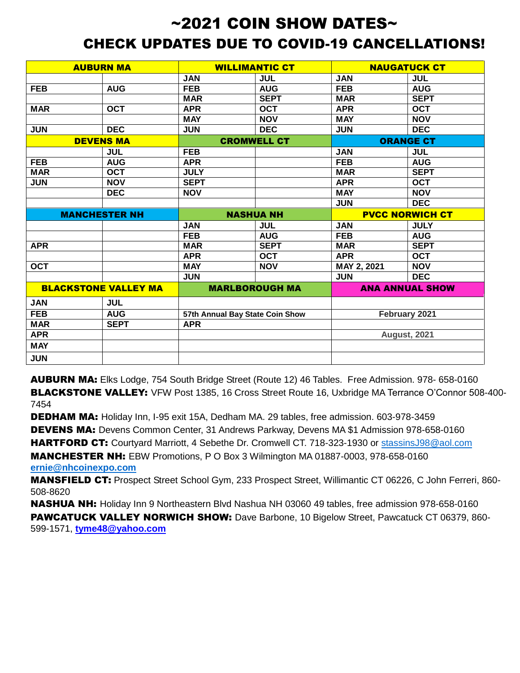## $\sim$ 2021 COIN SHOW DATES $\sim$ CHECK UPDATES DUE TO COVID-19 CANCELLATIONS!

| <b>AUBURN MA</b>            |             | <b>WILLIMANTIC CT</b>           |             | <b>NAUGATUCK CT</b>    |             |
|-----------------------------|-------------|---------------------------------|-------------|------------------------|-------------|
|                             |             | <b>JAN</b>                      | <b>JUL</b>  | <b>JAN</b>             | <b>JUL</b>  |
| <b>FEB</b>                  | <b>AUG</b>  | <b>FEB</b>                      | <b>AUG</b>  | <b>FEB</b>             | <b>AUG</b>  |
|                             |             | <b>MAR</b>                      | <b>SEPT</b> | <b>MAR</b>             | <b>SEPT</b> |
| <b>MAR</b>                  | <b>OCT</b>  | <b>APR</b>                      | <b>OCT</b>  | <b>APR</b>             | <b>OCT</b>  |
|                             |             | <b>MAY</b>                      | <b>NOV</b>  | <b>MAY</b>             | <b>NOV</b>  |
| <b>JUN</b>                  | <b>DEC</b>  | <b>JUN</b>                      | <b>DEC</b>  | <b>JUN</b>             | <b>DEC</b>  |
| <b>DEVENS MA</b>            |             | <b>CROMWELL CT</b>              |             | <b>ORANGE CT</b>       |             |
|                             | <b>JUL</b>  | <b>FEB</b>                      |             | <b>JAN</b>             | <b>JUL</b>  |
| <b>FEB</b>                  | <b>AUG</b>  | <b>APR</b>                      |             | <b>FEB</b>             | <b>AUG</b>  |
| <b>MAR</b>                  | <b>OCT</b>  | <b>JULY</b>                     |             | <b>MAR</b>             | <b>SEPT</b> |
| <b>JUN</b>                  | <b>NOV</b>  | <b>SEPT</b>                     |             | <b>APR</b>             | <b>OCT</b>  |
|                             | <b>DEC</b>  | <b>NOV</b>                      |             | <b>MAY</b>             | <b>NOV</b>  |
|                             |             |                                 |             | <b>JUN</b>             | <b>DEC</b>  |
| <b>MANCHESTER NH</b>        |             | <b>NASHUA NH</b>                |             | <b>PVCC NORWICH CT</b> |             |
|                             |             | <b>JAN</b>                      | <b>JUL</b>  | <b>JAN</b>             | <b>JULY</b> |
|                             |             | <b>FEB</b>                      | <b>AUG</b>  | <b>FEB</b>             | <b>AUG</b>  |
| <b>APR</b>                  |             | <b>MAR</b>                      | <b>SEPT</b> | <b>MAR</b>             | <b>SEPT</b> |
|                             |             | <b>APR</b>                      | <b>OCT</b>  | <b>APR</b>             | <b>OCT</b>  |
| <b>OCT</b>                  |             | <b>MAY</b>                      | <b>NOV</b>  | MAY 2, 2021            | <b>NOV</b>  |
|                             |             | <b>JUN</b>                      |             | <b>JUN</b>             | <b>DEC</b>  |
| <b>BLACKSTONE VALLEY MA</b> |             | <b>MARLBOROUGH MA</b>           |             | <b>ANA ANNUAL SHOW</b> |             |
| <b>JAN</b>                  | <b>JUL</b>  |                                 |             |                        |             |
| <b>FEB</b>                  | <b>AUG</b>  | 57th Annual Bay State Coin Show |             | February 2021          |             |
| <b>MAR</b>                  | <b>SEPT</b> | <b>APR</b>                      |             |                        |             |
| <b>APR</b>                  |             |                                 |             | <b>August, 2021</b>    |             |
| <b>MAY</b>                  |             |                                 |             |                        |             |
| <b>JUN</b>                  |             |                                 |             |                        |             |

AUBURN MA: Elks Lodge, 754 South Bridge Street (Route 12) 46 Tables. Free Admission. 978- 658-0160 BLACKSTONE VALLEY: VFW Post 1385, 16 Cross Street Route 16, Uxbridge MA Terrance O'Connor 508-400- 7454

DEDHAM MA: Holiday Inn, I-95 exit 15A, Dedham MA. 29 tables, free admission. 603-978-3459

DEVENS MA: Devens Common Center, 31 Andrews Parkway, Devens MA \$1 Admission 978-658-0160

HARTFORD CT: Courtyard Marriott, 4 Sebethe Dr. Cromwell CT. 718-323-1930 or [stassinsJ98@aol.com](mailto:stassinsJ98@aol.com)

MANCHESTER NH: EBW Promotions, P O Box 3 Wilmington MA 01887-0003, 978-658-0160 **[ernie@nhcoinexpo.com](mailto:ernie@nhcoinexpo.com)**

MANSFIELD CT: Prospect Street School Gym, 233 Prospect Street, Willimantic CT 06226, C John Ferreri, 860- 508-8620

NASHUA NH: Holiday Inn 9 Northeastern Blvd Nashua NH 03060 49 tables, free admission 978-658-0160 PAWCATUCK VALLEY NORWICH SHOW: Dave Barbone, 10 Bigelow Street, Pawcatuck CT 06379, 860-599-1571, **tyme48@yahoo.com**